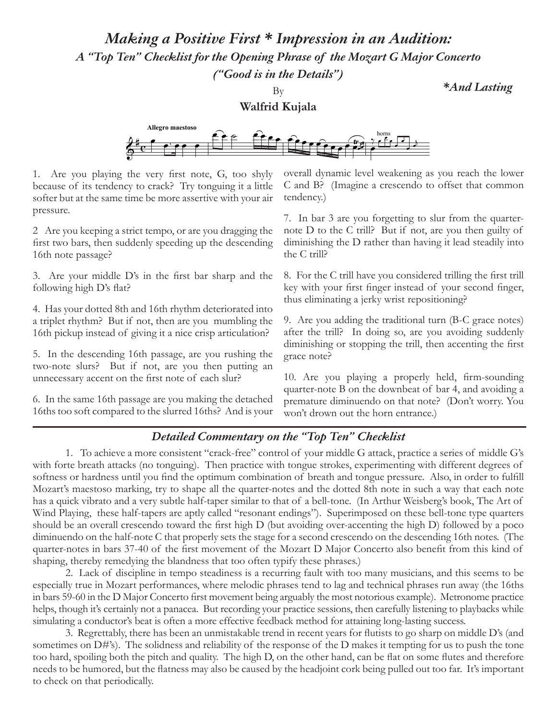*Making a Positive First \* Impression in an Audition:*

*A "Top Ten" Checklist for the Opening Phrase of the Mozart G Major Concerto* 

*("Good is in the Details")*

By

*\*And Lasting*

## **Walfrid Kujala**



1. Are you playing the very first note, G, too shyly because of its tendency to crack? Try tonguing it a little softer but at the same time be more assertive with your air pressure.

2 Are you keeping a strict tempo, or are you dragging the first two bars, then suddenly speeding up the descending 16th note passage?

3. Are your middle D's in the first bar sharp and the following high D's flat?

4. Has your dotted 8th and 16th rhythm deteriorated into a triplet rhythm? But if not, then are you mumbling the 16th pickup instead of giving it a nice crisp articulation?

5. In the descending 16th passage, are you rushing the two-note slurs? But if not, are you then putting an unnecessary accent on the first note of each slur?

6. In the same 16th passage are you making the detached 16ths too soft compared to the slurred 16ths? And is your overall dynamic level weakening as you reach the lower C and B? (Imagine a crescendo to offset that common tendency.)

7. In bar 3 are you forgetting to slur from the quarternote D to the C trill? But if not, are you then guilty of diminishing the D rather than having it lead steadily into the C trill?

8. For the C trill have you considered trilling the first trill key with your first finger instead of your second finger, thus eliminating a jerky wrist repositioning?

9. Are you adding the traditional turn (B-C grace notes) after the trill? In doing so, are you avoiding suddenly diminishing or stopping the trill, then accenting the first grace note?

10. Are you playing a properly held, firm-sounding quarter-note B on the downbeat of bar 4, and avoiding a premature diminuendo on that note? (Don't worry. You won't drown out the horn entrance.)

## *Detailed Commentary on the "Top Ten" Checklist*

1. To achieve a more consistent "crack-free" control of your middle G attack, practice a series of middle G's with forte breath attacks (no tonguing). Then practice with tongue strokes, experimenting with different degrees of softness or hardness until you find the optimum combination of breath and tongue pressure. Also, in order to fulfill Mozart's maestoso marking, try to shape all the quarter-notes and the dotted 8th note in such a way that each note has a quick vibrato and a very subtle half-taper similar to that of a bell-tone. (In Arthur Weisberg's book, The Art of Wind Playing, these half-tapers are aptly called "resonant endings"). Superimposed on these bell-tone type quarters should be an overall crescendo toward the first high D (but avoiding over-accenting the high D) followed by a poco diminuendo on the half-note C that properly sets the stage for a second crescendo on the descending 16th notes. (The quarter-notes in bars 37-40 of the first movement of the Mozart D Major Concerto also benefit from this kind of shaping, thereby remedying the blandness that too often typify these phrases.)

2. Lack of discipline in tempo steadiness is a recurring fault with too many musicians, and this seems to be especially true in Mozart performances, where melodic phrases tend to lag and technical phrases run away (the 16ths in bars 59-60 in the D Major Concerto first movement being arguably the most notorious example). Metronome practice helps, though it's certainly not a panacea. But recording your practice sessions, then carefully listening to playbacks while simulating a conductor's beat is often a more effective feedback method for attaining long-lasting success.

3. Regrettably, there has been an unmistakable trend in recent years for flutists to go sharp on middle D's (and sometimes on D#'s). The solidness and reliability of the response of the D makes it tempting for us to push the tone too hard, spoiling both the pitch and quality. The high D, on the other hand, can be flat on some flutes and therefore needs to be humored, but the flatness may also be caused by the headjoint cork being pulled out too far. It's important to check on that periodically.